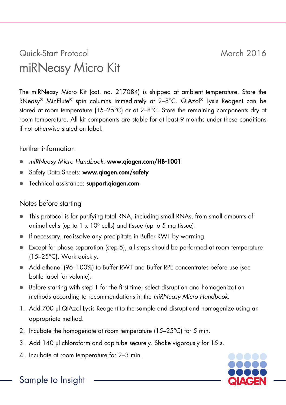## Quick-Start Protocol March 2016 miRNeasy Micro Kit

The miRNeasy Micro Kit (cat. no. 217084) is shipped at ambient temperature. Store the RNeasy® MinElute® spin columns immediately at 2–8°C. QIAzol® Lysis Reagent can be stored at room temperature (15–25°C) or at 2–8°C. Store the remaining components dry at room temperature. All kit components are stable for at least 9 months under these conditions if not otherwise stated on label.

## Further information

- *miRNeasy Micro Handbook*: www.qiagen.com/HB-1001
- Safety Data Sheets: www.aiagen.com/safety
- Technical assistance: support.qiagen.com

## Notes before starting

- This protocol is for purifying total RNA, including small RNAs, from small amounts of animal cells (up to  $1 \times 10^6$  cells) and tissue (up to 5 ma tissue).
- If necessary, redissolve any precipitate in Buffer RWT by warming.
- Except for phase separation (step 5), all steps should be performed at room temperature (15–25°C). Work quickly.
- Add ethanol (96–100%) to Buffer RWT and Buffer RPE concentrates before use (see bottle label for volume).
- Before starting with step 1 for the first time, select disruption and homogenization methods according to recommendations in the *miRNeasy Micro Handbook*.
- 1. Add 700 µl QIAzol Lysis Reagent to the sample and disrupt and homogenize using an appropriate method.
- 2. Incubate the homogenate at room temperature (15–25°C) for 5 min.
- 3. Add 140 µl chloroform and cap tube securely. Shake vigorously for 15 s.
- 4. Incubate at room temperature for 2–3 min.



Sample to Insight